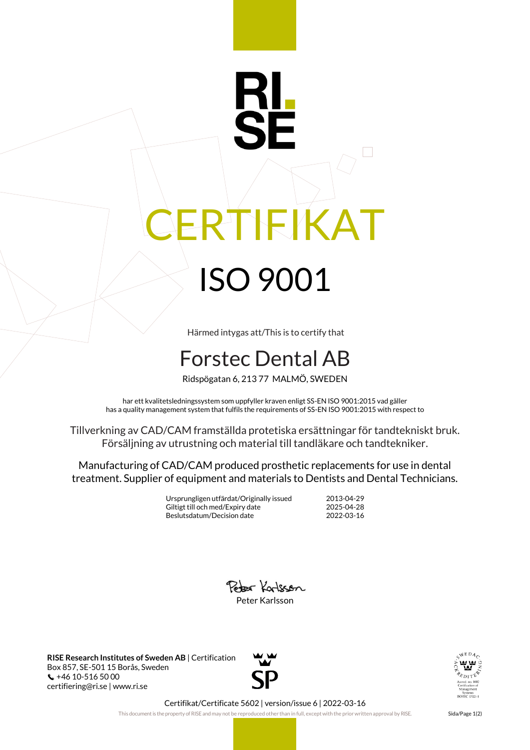## RI IEIKAT ISO 9001

Härmed intygas att/This is to certify that

## Forstec Dental AB

Ridspögatan 6, 213 77 MALMÖ, SWEDEN

har ett kvalitetsledningssystem som uppfyller kraven enligt SS-EN ISO 9001:2015 vad gäller has a quality management system that fulfils the requirements of SS-EN ISO 9001:2015 with respect to

Tillverkning av CAD/CAM framställda protetiska ersättningar för tandtekniskt bruk. Försäljning av utrustning och material till tandläkare och tandtekniker.

Manufacturing of CAD/CAM produced prosthetic replacements for use in dental treatment. Supplier of equipment and materials to Dentists and Dental Technicians.

> Ursprungligen utfärdat/Originally issued 2013-04-29 Giltigt till och med/Expiry date 2025-04-28<br>Beslutsdatum/Decision date 2022-03-16 Beslutsdatum/Decision date



**RISE Research Institutes of Sweden AB** | Certification Box 857, SE-501 15 Borås, Sweden +46 10-516 50 00 certifiering@ri.se | www.ri.se





Certifikat/Certificate 5602 | version/issue 6 | 2022-03-16

This document is the property of RISE and may not be reproduced other than in full, except with the prior written approval by RISE. Sida/Page 1(2)